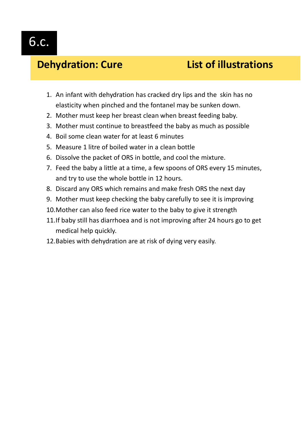## **Dehydration: Cure List of illustrations**

- 1. An infant with dehydration has cracked dry lips and the skin has no elasticity when pinched and the fontanel may be sunken down.
- 2. Mother must keep her breast clean when breast feeding baby.
- 3. Mother must continue to breastfeed the baby as much as possible
- 4. Boil some clean water for at least 6 minutes
- 5. Measure 1 litre of boiled water in a clean bottle
- 6. Dissolve the packet of ORS in bottle, and cool the mixture.
- 7. Feed the baby a little at a time, a few spoons of ORS every 15 minutes, and try to use the whole bottle in 12 hours.
- 8. Discard any ORS which remains and make fresh ORS the next day
- 9. Mother must keep checking the baby carefully to see it is improving
- 10.Mother can also feed rice water to the baby to give it strength
- 11.If baby still has diarrhoea and is not improving after 24 hours go to get medical help quickly.
- 12.Babies with dehydration are at risk of dying very easily.